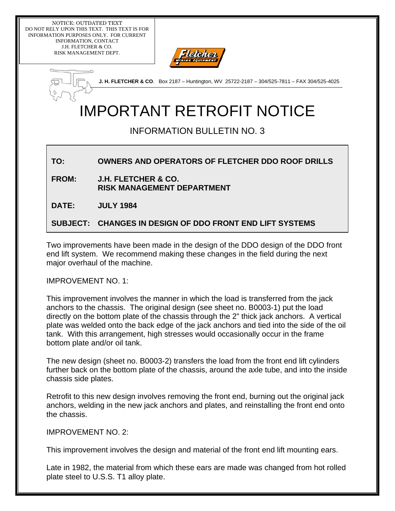NOTICE: OUTDATED TEXT DO NOT RELY UPON THIS TEXT. THIS TEXT IS FOR INFORMATION PURPOSES ONLY. FOR CURRENT INFORMATION, CONTACT J.H. FLETCHER & CO. RISK MANAGEMENT DEPT.



**J. H. FLETCHER & CO**. Box 2187 – Huntington, WV 25722-2187 – 304/525-7811 – FAX 304/525-4025

## IMPORTANT RETROFIT NOTICE

## INFORMATION BULLETIN NO. 3

## **TO: OWNERS AND OPERATORS OF FLETCHER DDO ROOF DRILLS**

**FROM: J.H. FLETCHER & CO. RISK MANAGEMENT DEPARTMENT** 

**DATE: JULY 1984** 

**SUBJECT: CHANGES IN DESIGN OF DDO FRONT END LIFT SYSTEMS** 

Two improvements have been made in the design of the DDO design of the DDO front end lift system. We recommend making these changes in the field during the next major overhaul of the machine.

IMPROVEMENT NO. 1:

This improvement involves the manner in which the load is transferred from the jack anchors to the chassis. The original design (see sheet no. B0003-1) put the load directly on the bottom plate of the chassis through the 2" thick jack anchors. A vertical plate was welded onto the back edge of the jack anchors and tied into the side of the oil tank. With this arrangement, high stresses would occasionally occur in the frame bottom plate and/or oil tank.

The new design (sheet no. B0003-2) transfers the load from the front end lift cylinders further back on the bottom plate of the chassis, around the axle tube, and into the inside chassis side plates.

Retrofit to this new design involves removing the front end, burning out the original jack anchors, welding in the new jack anchors and plates, and reinstalling the front end onto the chassis.

IMPROVEMENT NO. 2:

This improvement involves the design and material of the front end lift mounting ears.

Late in 1982, the material from which these ears are made was changed from hot rolled plate steel to U.S.S. T1 alloy plate.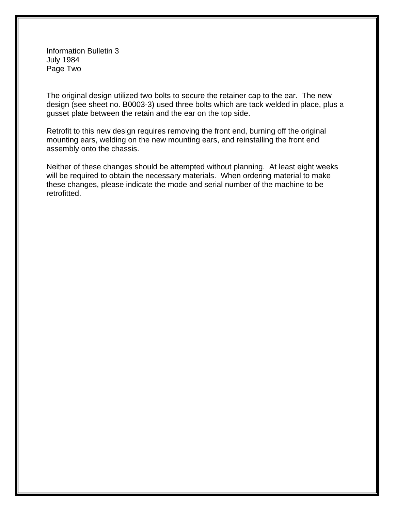Information Bulletin 3 July 1984 Page Two

The original design utilized two bolts to secure the retainer cap to the ear. The new design (see sheet no. B0003-3) used three bolts which are tack welded in place, plus a gusset plate between the retain and the ear on the top side.

Retrofit to this new design requires removing the front end, burning off the original mounting ears, welding on the new mounting ears, and reinstalling the front end assembly onto the chassis.

Neither of these changes should be attempted without planning. At least eight weeks will be required to obtain the necessary materials. When ordering material to make these changes, please indicate the mode and serial number of the machine to be retrofitted.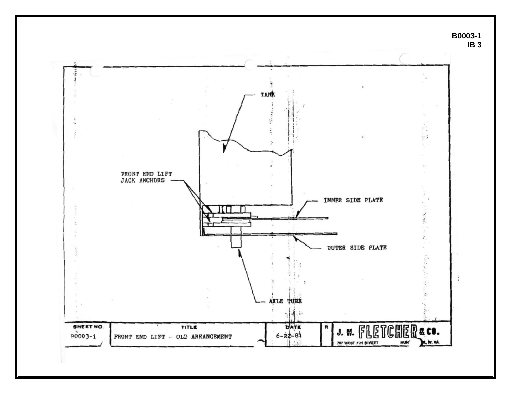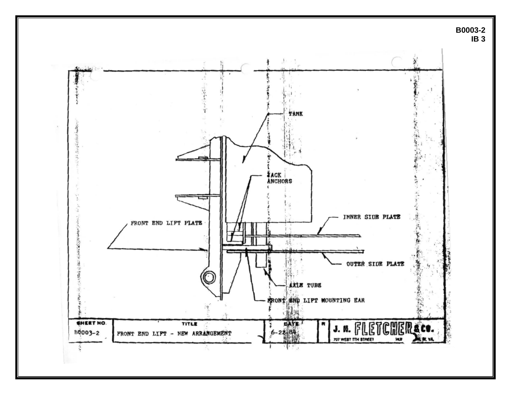